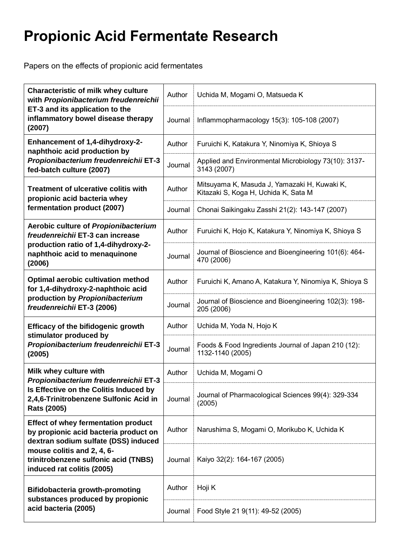## **Propionic Acid Fermentate Research**

Papers on the effects of propionic acid fermentates

| <b>Characteristic of milk whey culture</b><br>with Propionibacterium freudenreichii<br>ET-3 and its application to the<br>inflammatory bowel disease therapy<br>(2007)                                                          | Author  | Uchida M, Mogami O, Matsueda K                                                       |
|---------------------------------------------------------------------------------------------------------------------------------------------------------------------------------------------------------------------------------|---------|--------------------------------------------------------------------------------------|
|                                                                                                                                                                                                                                 | Journal | Inflammopharmacology 15(3): 105-108 (2007)                                           |
| <b>Enhancement of 1,4-dihydroxy-2-</b><br>naphthoic acid production by<br>Propionibacterium freudenreichii ET-3<br>fed-batch culture (2007)                                                                                     | Author  | Furuichi K, Katakura Y, Ninomiya K, Shioya S                                         |
|                                                                                                                                                                                                                                 | Journal | Applied and Environmental Microbiology 73(10): 3137-<br>3143 (2007)                  |
| <b>Treatment of ulcerative colitis with</b><br>propionic acid bacteria whey<br>fermentation product (2007)                                                                                                                      | Author  | Mitsuyama K, Masuda J, Yamazaki H, Kuwaki K,<br>Kitazaki S, Koga H, Uchida K, Sata M |
|                                                                                                                                                                                                                                 | Journal | Chonai Saikingaku Zasshi 21(2): 143-147 (2007)                                       |
| Aerobic culture of Propionibacterium<br>freudenreichii ET-3 can increase<br>production ratio of 1,4-dihydroxy-2-<br>naphthoic acid to menaquinone<br>(2006)                                                                     | Author  | Furuichi K, Hojo K, Katakura Y, Ninomiya K, Shioya S                                 |
|                                                                                                                                                                                                                                 | Journal | Journal of Bioscience and Bioengineering 101(6): 464-<br>470 (2006)                  |
| <b>Optimal aerobic cultivation method</b><br>for 1,4-dihydroxy-2-naphthoic acid<br>production by Propionibacterium<br>freudenreichii ET-3 (2006)                                                                                | Author  | Furuichi K, Amano A, Katakura Y, Ninomiya K, Shioya S                                |
|                                                                                                                                                                                                                                 | Journal | Journal of Bioscience and Bioengineering 102(3): 198-<br>205 (2006)                  |
| <b>Efficacy of the bifidogenic growth</b><br>stimulator produced by<br>Propionibacterium freudenreichii ET-3<br>(2005)                                                                                                          | Author  | Uchida M, Yoda N, Hojo K                                                             |
|                                                                                                                                                                                                                                 | Journal | Foods & Food Ingredients Journal of Japan 210 (12):<br>1132-1140 (2005)              |
| Milk whey culture with<br>Propionibacterium freudenreichii ET-3<br>Is Effective on the Colitis Induced by<br>2,4,6-Trinitrobenzene Sulfonic Acid in<br><b>Rats (2005)</b>                                                       | Author  | Uchida M, Mogami O                                                                   |
|                                                                                                                                                                                                                                 | Journal | Journal of Pharmacological Sciences 99(4): 329-334<br>(2005)                         |
| <b>Effect of whey fermentation product</b><br>by propionic acid bacteria product on<br>dextran sodium sulfate (DSS) induced<br>mouse colitis and 2, 4, 6-<br>trinitrobenzene sulfonic acid (TNBS)<br>induced rat colitis (2005) | Author  | Narushima S, Mogami O, Morikubo K, Uchida K                                          |
|                                                                                                                                                                                                                                 | Journal | Kaiyo 32(2): 164-167 (2005)                                                          |
| <b>Bifidobacteria growth-promoting</b><br>substances produced by propionic<br>acid bacteria (2005)                                                                                                                              | Author  | Hoji K                                                                               |
|                                                                                                                                                                                                                                 | Journal | Food Style 21 9(11): 49-52 (2005)                                                    |